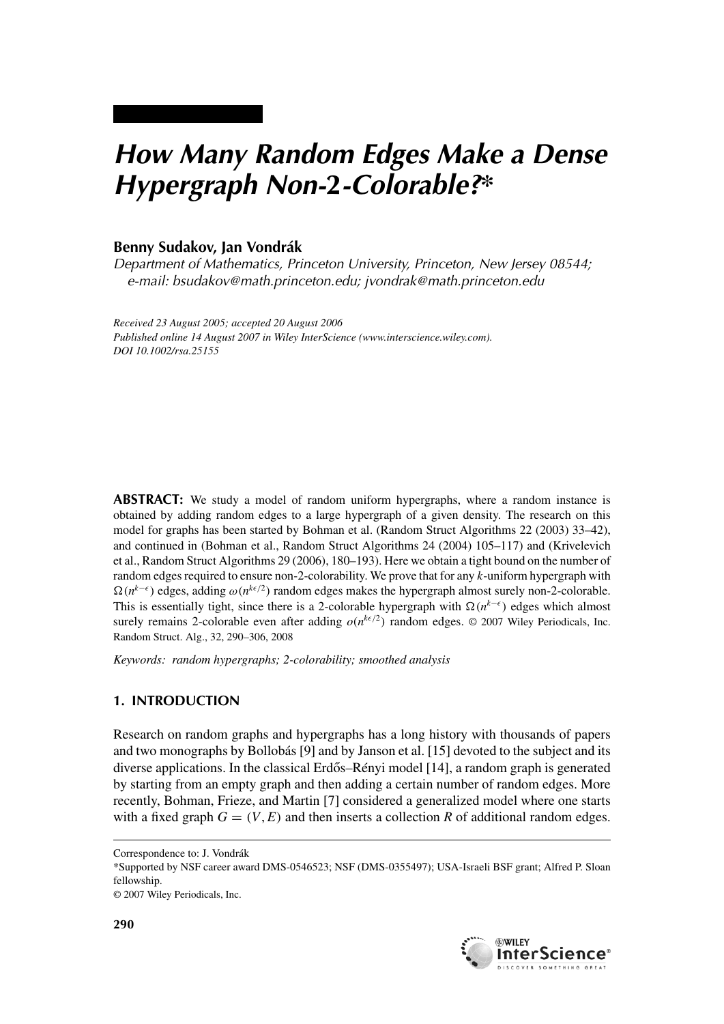# *How Many Random Edges Make a Dense Hypergraph Non-***2***-Colorable?\**

## **Benny Sudakov, Jan Vondrák**

*Department of Mathematics, Princeton University, Princeton, New Jersey 08544; e-mail: bsudakov@math.princeton.edu; jvondrak@math.princeton.edu*

*Received 23 August 2005; accepted 20 August 2006 Published online 14 August 2007 in Wiley InterScience (www.interscience.wiley.com). DOI 10.1002/rsa.25155*

**ABSTRACT:** We study a model of random uniform hypergraphs, where a random instance is obtained by adding random edges to a large hypergraph of a given density. The research on this model for graphs has been started by Bohman et al. (Random Struct Algorithms 22 (2003) 33–42), and continued in (Bohman et al., Random Struct Algorithms 24 (2004) 105–117) and (Krivelevich et al., Random Struct Algorithms 29 (2006), 180–193). Here we obtain a tight bound on the number of random edges required to ensure non-2-colorability. We prove that for any *k*-uniform hypergraph with  $\Omega(n^{k-\epsilon})$  edges, adding  $\omega(n^{k\epsilon/2})$  random edges makes the hypergraph almost surely non-2-colorable. This is essentially tight, since there is a 2-colorable hypergraph with  $\Omega(n^{k-\epsilon})$  edges which almost surely remains 2-colorable even after adding  $o(n^{k\epsilon/2})$  random edges.  $\odot$  2007 Wiley Periodicals, Inc. Random Struct. Alg., 32, 290–306, 2008

*Keywords: random hypergraphs; 2-colorability; smoothed analysis*

#### **1. INTRODUCTION**

Research on random graphs and hypergraphs has a long history with thousands of papers and two monographs by Bollobás [9] and by Janson et al. [15] devoted to the subject and its diverse applications. In the classical Erdős–Rényi model  $[14]$ , a random graph is generated by starting from an empty graph and then adding a certain number of random edges. More recently, Bohman, Frieze, and Martin [7] considered a generalized model where one starts with a fixed graph  $G = (V, E)$  and then inserts a collection R of additional random edges.



Correspondence to: J. Vondrák

<sup>\*</sup>Supported by NSF career award DMS-0546523; NSF (DMS-0355497); USA-Israeli BSF grant; Alfred P. Sloan fellowship.

<sup>© 2007</sup> Wiley Periodicals, Inc.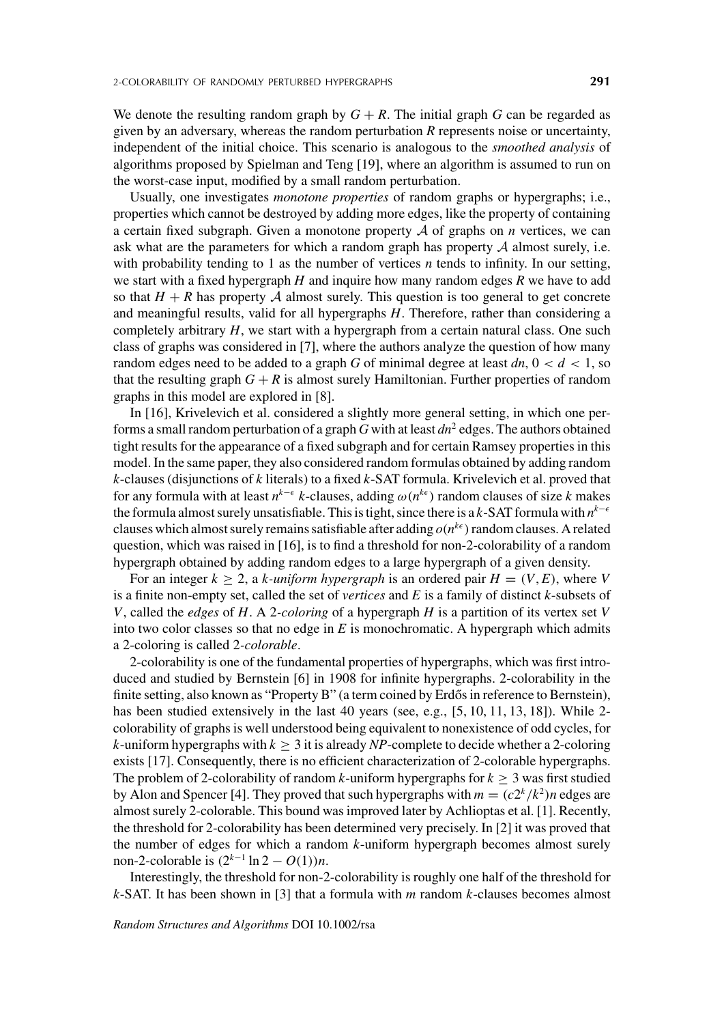Usually, one investigates *monotone properties* of random graphs or hypergraphs; i.e., properties which cannot be destroyed by adding more edges, like the property of containing a certain fixed subgraph. Given a monotone property  $A$  of graphs on  $n$  vertices, we can ask what are the parameters for which a random graph has property  $A$  almost surely, i.e. with probability tending to 1 as the number of vertices *n* tends to infinity. In our setting, we start with a fixed hypergraph *H* and inquire how many random edges *R* we have to add so that  $H + R$  has property A almost surely. This question is too general to get concrete and meaningful results, valid for all hypergraphs *H*. Therefore, rather than considering a completely arbitrary *H*, we start with a hypergraph from a certain natural class. One such class of graphs was considered in [7], where the authors analyze the question of how many random edges need to be added to a graph *G* of minimal degree at least  $dn$ ,  $0 < d < 1$ , so that the resulting graph  $G + R$  is almost surely Hamiltonian. Further properties of random graphs in this model are explored in [8].

In [16], Krivelevich et al. considered a slightly more general setting, in which one performs a small random perturbation of a graph *G* with at least *dn*<sup>2</sup> edges. The authors obtained tight results for the appearance of a fixed subgraph and for certain Ramsey properties in this model. In the same paper, they also considered random formulas obtained by adding random *k*-clauses (disjunctions of *k* literals) to a fixed *k*-SAT formula. Krivelevich et al. proved that for any formula with at least  $n^{k-\epsilon}$  *k*-clauses, adding  $\omega(n^{k\epsilon})$  random clauses of size *k* makes the formula almost surely unsatisfiable. This is tight, since there is a *k*-SAT formula with  $n^{k-1}$ clauses which almost surely remains satisfiable after adding  $o(n^{k\epsilon})$  random clauses. A related question, which was raised in [16], is to find a threshold for non-2-colorability of a random hypergraph obtained by adding random edges to a large hypergraph of a given density.

For an integer  $k \geq 2$ , a *k-uniform hypergraph* is an ordered pair  $H = (V, E)$ , where *V* is a finite non-empty set, called the set of *vertices* and *E* is a family of distinct *k*-subsets of *V*, called the *edges* of *H*. A 2-*coloring* of a hypergraph *H* is a partition of its vertex set *V* into two color classes so that no edge in  $E$  is monochromatic. A hypergraph which admits a 2-coloring is called 2*-colorable*.

2-colorability is one of the fundamental properties of hypergraphs, which was first introduced and studied by Bernstein [6] in 1908 for infinite hypergraphs. 2-colorability in the finite setting, also known as "Property B" (a term coined by Erdős in reference to Bernstein), has been studied extensively in the last 40 years (see, e.g., [5, 10, 11, 13, 18]). While 2colorability of graphs is well understood being equivalent to nonexistence of odd cycles, for *k*-uniform hypergraphs with  $k \geq 3$  it is already *NP*-complete to decide whether a 2-coloring exists [17]. Consequently, there is no efficient characterization of 2-colorable hypergraphs. The problem of 2-colorability of random *k*-uniform hypergraphs for  $k \geq 3$  was first studied by Alon and Spencer [4]. They proved that such hypergraphs with  $m = (c2^k/k^2)n$  edges are almost surely 2-colorable. This bound was improved later by Achlioptas et al. [1]. Recently, the threshold for 2-colorability has been determined very precisely. In [2] it was proved that the number of edges for which a random *k*-uniform hypergraph becomes almost surely non-2-colorable is  $(2^{k-1} \ln 2 - O(1))n$ .

Interestingly, the threshold for non-2-colorability is roughly one half of the threshold for *k*-SAT. It has been shown in [3] that a formula with *m* random *k*-clauses becomes almost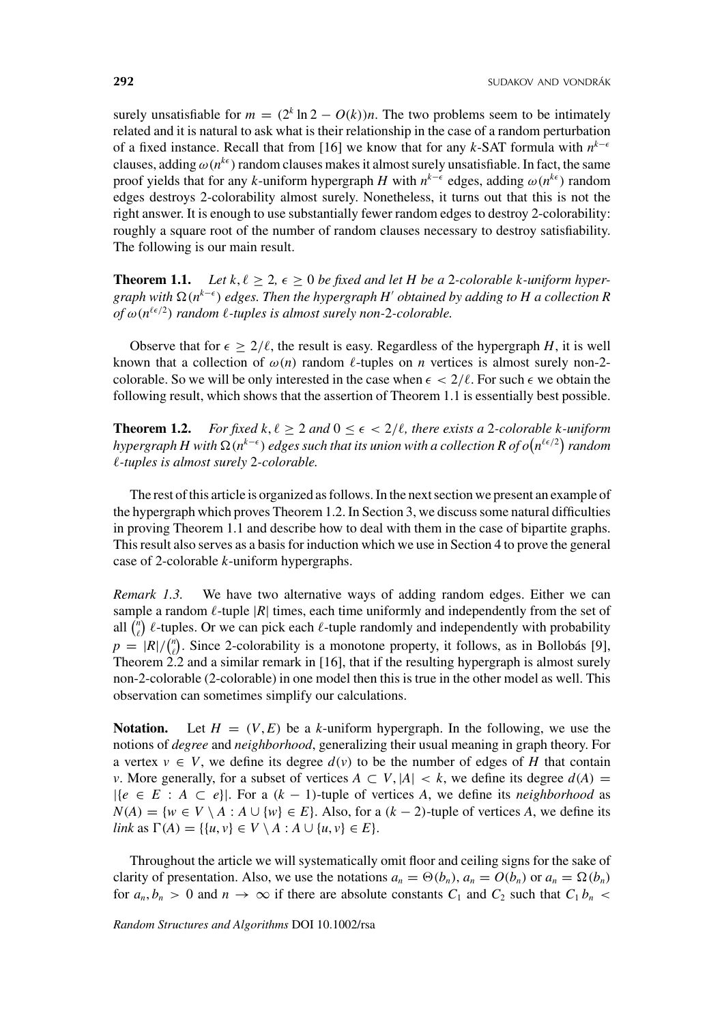surely unsatisfiable for  $m = (2<sup>k</sup> \ln 2 - O(k))n$ . The two problems seem to be intimately related and it is natural to ask what is their relationship in the case of a random perturbation of a fixed instance. Recall that from [16] we know that for any *k*-SAT formula with  $n^{k-ε}$ clauses, adding  $\omega(n^{k\epsilon})$  random clauses makes it almost surely unsatisfiable. In fact, the same proof yields that for any *k*-uniform hypergraph *H* with  $n^{k-\epsilon}$  edges, adding  $\omega(n^{k\epsilon})$  random edges destroys 2-colorability almost surely. Nonetheless, it turns out that this is not the right answer. It is enough to use substantially fewer random edges to destroy 2-colorability: roughly a square root of the number of random clauses necessary to destroy satisfiability. The following is our main result.

**Theorem 1.1.** Let  $k, \ell \geq 2, \epsilon \geq 0$  be fixed and let H be a 2-colorable k-uniform hyper*graph with* (*nk*−- ) *edges. Then the hypergraph H*- *obtained by adding to H a collection R of*  $\omega(n^{\ell \epsilon/2})$  *random*  $\ell$ *-tuples is almost surely non-2-colorable.* 

Observe that for  $\epsilon \geq 2/\ell$ , the result is easy. Regardless of the hypergraph *H*, it is well known that a collection of  $\omega(n)$  random  $\ell$ -tuples on *n* vertices is almost surely non-2colorable. So we will be only interested in the case when  $\epsilon < 2/\ell$ . For such  $\epsilon$  we obtain the following result, which shows that the assertion of Theorem 1.1 is essentially best possible.

**Theorem 1.2.** *For fixed k,*  $\ell \geq 2$  *and*  $0 \leq \epsilon < 2/\ell$ , there exists a 2*-colorable k-uniform hypergraph H with* Ω(n<sup>k−€</sup>) edges such that its union with a collection R of o(n<sup>ℓ€/2</sup>) random *-tuples is almost surely* 2*-colorable.*

The rest of this article is organized as follows. In the next section we present an example of the hypergraph which proves Theorem 1.2. In Section 3, we discuss some natural difficulties in proving Theorem 1.1 and describe how to deal with them in the case of bipartite graphs. This result also serves as a basis for induction which we use in Section 4 to prove the general case of 2-colorable *k*-uniform hypergraphs.

*Remark 1.3.* We have two alternative ways of adding random edges. Either we can sample a random  $\ell$ -tuple  $|R|$  times, each time uniformly and independently from the set of all  $\binom{n}{\ell}$   $\ell$ -tuples. Or we can pick each  $\ell$ -tuple randomly and independently with probability  $p = |R| / {n \choose \ell}$ . Since 2-colorability is a monotone property, it follows, as in Bollobás [9], Theorem 2.2 and a similar remark in [16], that if the resulting hypergraph is almost surely non-2-colorable (2-colorable) in one model then this is true in the other model as well. This observation can sometimes simplify our calculations.

**Notation.** Let  $H = (V, E)$  be a *k*-uniform hypergraph. In the following, we use the notions of *degree* and *neighborhood*, generalizing their usual meaning in graph theory. For a vertex  $v \in V$ , we define its degree  $d(v)$  to be the number of edges of *H* that contain *v*. More generally, for a subset of vertices  $A \subset V$ ,  $|A| < k$ , we define its degree  $d(A) =$  $|{e \in E : A \subseteq e}|$ . For a  $(k - 1)$ -tuple of vertices *A*, we define its *neighborhood* as *N*(*A*) = {*w* ∈ *V* \ *A* : *A* ∪ {*w*} ∈ *E*}. Also, for a (*k* − 2)-tuple of vertices *A*, we define its *link* as  $\Gamma(A) = \{ \{u, v\} \in V \setminus A : A \cup \{u, v\} \in E \}.$ 

Throughout the article we will systematically omit floor and ceiling signs for the sake of clarity of presentation. Also, we use the notations  $a_n = \Theta(b_n)$ ,  $a_n = O(b_n)$  or  $a_n = \Omega(b_n)$ for  $a_n, b_n > 0$  and  $n \to \infty$  if there are absolute constants  $C_1$  and  $C_2$  such that  $C_1 b_n <$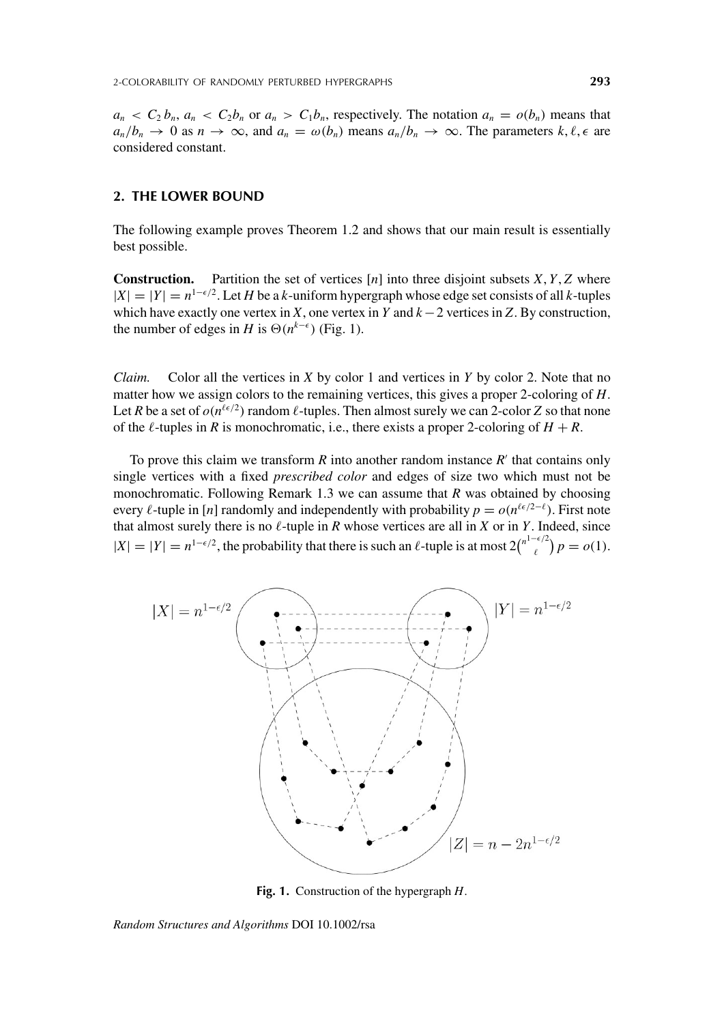### **2. THE LOWER BOUND**

The following example proves Theorem 1.2 and shows that our main result is essentially best possible.

**Construction.** Partition the set of vertices  $[n]$  into three disjoint subsets *X*, *Y*, *Z* where  $|X| = |Y| = n^{1-\epsilon/2}$ . Let *H* be a *k*-uniform hypergraph whose edge set consists of all *k*-tuples which have exactly one vertex in *X*, one vertex in *Y* and *k*−2 vertices in *Z*. By construction, the number of edges in *H* is  $\Theta(n^{k-\epsilon})$  (Fig. 1).

*Claim.* Color all the vertices in *X* by color 1 and vertices in *Y* by color 2. Note that no matter how we assign colors to the remaining vertices, this gives a proper 2-coloring of *H*. Let *R* be a set of  $o(n^{\ell \epsilon/2})$  random  $\ell$ -tuples. Then almost surely we can 2-color *Z* so that none of the  $\ell$ -tuples in *R* is monochromatic, i.e., there exists a proper 2-coloring of  $H + R$ .

To prove this claim we transform  $R$  into another random instance  $R'$  that contains only single vertices with a fixed *prescribed color* and edges of size two which must not be monochromatic. Following Remark 1.3 we can assume that *R* was obtained by choosing every  $\ell$ -tuple in [*n*] randomly and independently with probability  $p = o(n^{\ell \epsilon/2 - \ell})$ . First note that almost surely there is no  $\ell$ -tuple in *R* whose vertices are all in *X* or in *Y*. Indeed, since  $|X|=|Y|=n^{1-\epsilon/2}$ , the probability that there is such an  $\ell$ -tuple is at most  $2\binom{n^{1-\epsilon/2}}{\ell}$  $p = o(1)$ .



**Fig. 1.** Construction of the hypergraph *H*.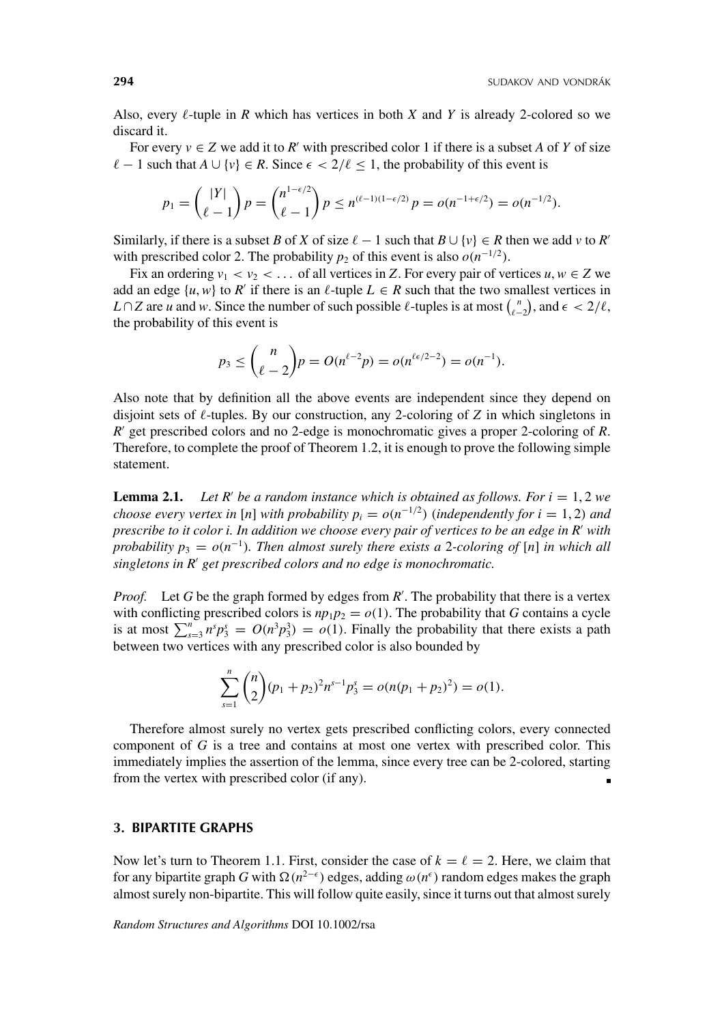Also, every  $\ell$ -tuple in *R* which has vertices in both *X* and *Y* is already 2-colored so we discard it.

For every  $v \in Z$  we add it to  $R'$  with prescribed color 1 if there is a subset *A* of *Y* of size  $\ell - 1$  such that  $A \cup \{v\} \in R$ . Since  $\epsilon < 2/\ell \leq 1$ , the probability of this event is

$$
p_1 = \binom{|Y|}{\ell-1} p = \binom{n^{1-\epsilon/2}}{\ell-1} p \le n^{(\ell-1)(1-\epsilon/2)} p = o(n^{-1+\epsilon/2}) = o(n^{-1/2}).
$$

Similarly, if there is a subset *B* of *X* of size  $\ell - 1$  such that  $B \cup \{v\} \in R$  then we add *v* to *R*<sup>-</sup> with prescribed color 2. The probability  $p_2$  of this event is also  $o(n^{-1/2})$ .

Fix an ordering  $v_1 < v_2 < \ldots$  of all vertices in *Z*. For every pair of vertices  $u, w \in Z$  we add an edge  $\{u, w\}$  to  $R'$  if there is an  $\ell$ -tuple  $L \in R$  such that the two smallest vertices in *L* ∩ *Z* are *u* and *w*. Since the number of such possible  $\ell$ -tuples is at most  $\binom{n}{\ell-2}$ , and  $\epsilon < 2/\ell$ , the probability of this event is

$$
p_3 \le {n \choose \ell-2} p = O(n^{\ell-2}p) = o(n^{\ell \epsilon/2-2}) = o(n^{-1}).
$$

Also note that by definition all the above events are independent since they depend on disjoint sets of  $\ell$ -tuples. By our construction, any 2-coloring of *Z* in which singletons in *R*- get prescribed colors and no 2-edge is monochromatic gives a proper 2-coloring of *R*. Therefore, to complete the proof of Theorem 1.2, it is enough to prove the following simple statement.

**Lemma 2.1.** *Let R' be a random instance which is obtained as follows. For*  $i = 1, 2$  *we choose every vertex in* [*n*] *with probability*  $p_i = o(n^{-1/2})$  (*independently for*  $i = 1, 2$ ) *and prescribe to it color i. In addition we choose every pair of vertices to be an edge in R*- *with probability*  $p_3 = o(n^{-1})$ *. Then almost surely there exists a 2-coloring of* [*n*] *in which all* singletons in R' get prescribed colors and no edge is monochromatic.

*Proof.* Let G be the graph formed by edges from R'. The probability that there is a vertex with conflicting prescribed colors is  $np_1p_2 = o(1)$ . The probability that *G* contains a cycle is at most  $\sum_{s=3}^{n} n^s p_3^s = O(n^3 p_3^3) = o(1)$ . Finally the probability that there exists a path between two vertices with any prescribed color is also bounded by

$$
\sum_{s=1}^{n} {n \choose 2} (p_1 + p_2)^2 n^{s-1} p_3^s = o(n(p_1 + p_2)^2) = o(1).
$$

Therefore almost surely no vertex gets prescribed conflicting colors, every connected component of *G* is a tree and contains at most one vertex with prescribed color. This immediately implies the assertion of the lemma, since every tree can be 2-colored, starting from the vertex with prescribed color (if any).

#### **3. BIPARTITE GRAPHS**

Now let's turn to Theorem 1.1. First, consider the case of  $k = \ell = 2$ . Here, we claim that for any bipartite graph *G* with Ω(*n*<sup>2− $\epsilon$ </sup>) edges, adding  $ω(n^{\epsilon})$  random edges makes the graph almost surely non-bipartite. This will follow quite easily, since it turns out that almost surely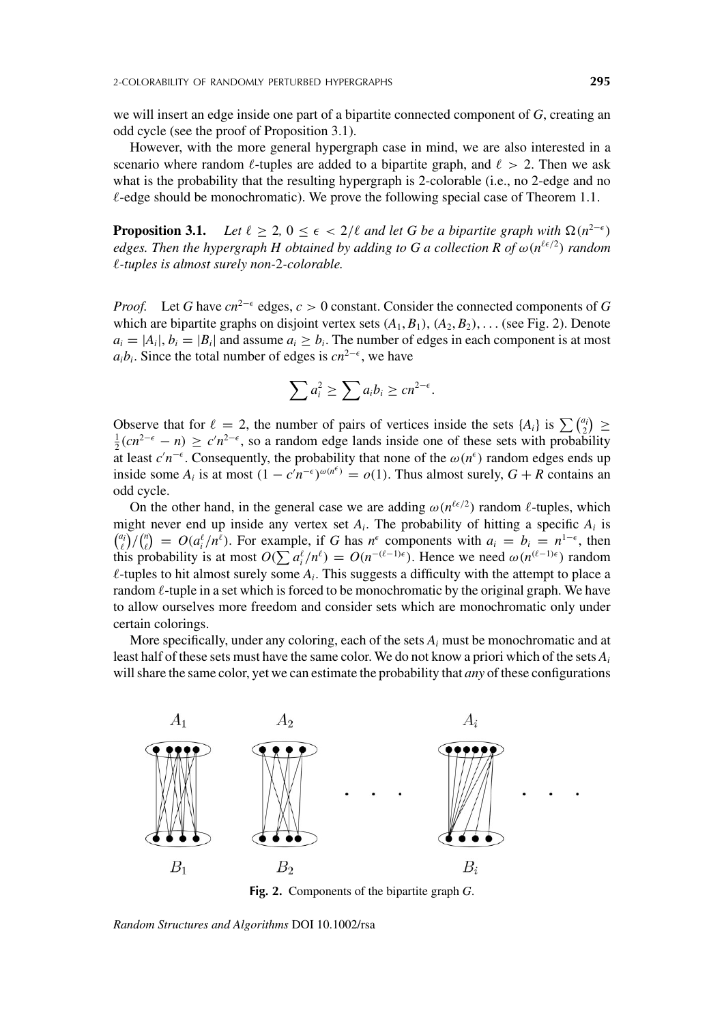we will insert an edge inside one part of a bipartite connected component of *G*, creating an odd cycle (see the proof of Proposition 3.1).

However, with the more general hypergraph case in mind, we are also interested in a scenario where random  $\ell$ -tuples are added to a bipartite graph, and  $\ell > 2$ . Then we ask what is the probability that the resulting hypergraph is 2-colorable (i.e., no 2-edge and no  $\ell$ -edge should be monochromatic). We prove the following special case of Theorem 1.1.

**Proposition 3.1.** *Let*  $\ell \geq 2$ ,  $0 \leq \epsilon < 2/\ell$  *and let* G *be a bipartite graph with*  $\Omega(n^{2-\epsilon})$ *edges. Then the hypergraph H obtained by adding to G a collection R of* ω(*n*-/<sup>2</sup>) *random -tuples is almost surely non-*2*-colorable.*

*Proof.* Let *G* have  $cn^{2-\epsilon}$  edges,  $c > 0$  constant. Consider the connected components of *G* which are bipartite graphs on disjoint vertex sets  $(A_1, B_1), (A_2, B_2), \ldots$  (see Fig. 2). Denote  $a_i = |A_i|$ ,  $b_i = |B_i|$  and assume  $a_i > b_i$ . The number of edges in each component is at most  $a_i b_i$ . Since the total number of edges is  $cn^{2-\epsilon}$ , we have

$$
\sum a_i^2 \ge \sum a_i b_i \ge cn^{2-\epsilon}.
$$

Observe that for  $\ell = 2$ , the number of pairs of vertices inside the sets  $\{A_i\}$  is  $\sum \binom{a_i}{2}$ Observe that for  $\ell = 2$ , the number of pairs of vertices inside the sets {A<sub>i</sub>} is  $\sum_{i=1}^{\infty}$  ( $\frac{1}{2}$ ) ≥  $\frac{1}{2}(cn^{2-\epsilon} - n) \geq c'n^{2-\epsilon}$ , so a random edge lands inside one of these sets with probability at least  $c'n^{-\epsilon}$ . Consequently, the probability that none of the  $\omega(n^{\epsilon})$  random edges ends up inside some  $A_i$  is at most  $(1 - c'n^{-\epsilon})^{\omega(n^{\epsilon})} = o(1)$ . Thus almost surely,  $G + R$  contains an odd cycle.

On the other hand, in the general case we are adding  $\omega(n^{\ell \epsilon/2})$  random  $\ell$ -tuples, which might never end up inside any vertex set  $A_i$ . The probability of hitting a specific  $A_i$  is  $\binom{a_i}{\ell}$  / $\binom{n}{\ell}$  =  $O(a_i^{\ell}/n^{\ell})$ . For example, if *G* has *n*<sup> $\epsilon$ </sup> components with  $a_i = b_i = n^{1-\epsilon}$ , then this probability is at most  $O(\sum a_i^{\ell}/n^{\ell}) = O(n^{-(\ell-1)\epsilon})$ . Hence we need  $\omega(n^{(\ell-1)\epsilon})$  random  $\ell$ -tuples to hit almost surely some  $A_i$ . This suggests a difficulty with the attempt to place a random  $\ell$ -tuple in a set which is forced to be monochromatic by the original graph. We have to allow ourselves more freedom and consider sets which are monochromatic only under certain colorings.

More specifically, under any coloring, each of the sets  $A_i$  must be monochromatic and at least half of these sets must have the same color. We do not know a priori which of the sets *Ai* will share the same color, yet we can estimate the probability that *any* of these configurations



**Fig. 2.** Components of the bipartite graph *G*.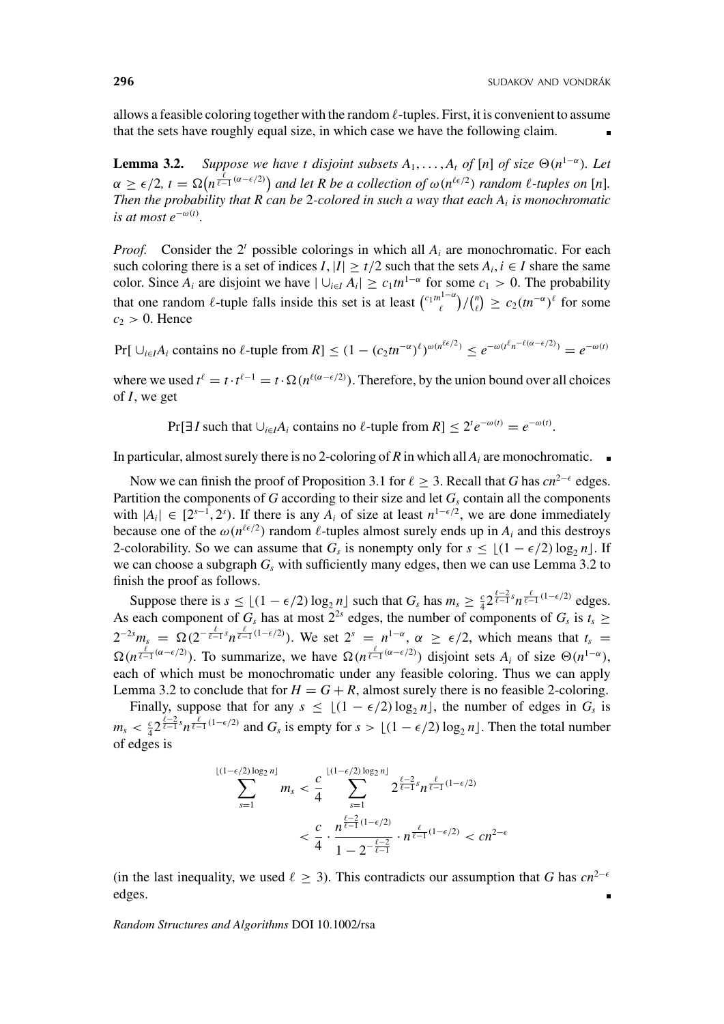allows a feasible coloring together with the random  $\ell$ -tuples. First, it is convenient to assume that the sets have roughly equal size, in which case we have the following claim.

**Lemma 3.2.** *Suppose we have t disjoint subsets*  $A_1, \ldots, A_t$  *of* [*n*] *of size*  $\Theta(n^{1-\alpha})$ *. Let*  $\alpha \geq \epsilon/2$ ,  $t = \Omega(n^{\frac{\ell}{\ell-1}(\alpha-\epsilon/2)})$  and let R be a collection of  $\omega(n^{\ell\epsilon/2})$  random  $\ell$ -tuples on [n]. *Then the probability that R can be* 2*-colored in such a way that each Ai is monochromatic*  $i$ *s at most*  $e^{-\omega(t)}$ .

*Proof.* Consider the  $2^t$  possible colorings in which all  $A_i$  are monochromatic. For each such coloring there is a set of indices *I*,  $|I| \ge t/2$  such that the sets  $A_i, i \in I$  share the same color. Since  $A_i$  are disjoint we have  $|U_{i \in I} A_i| \ge c_1 t n^{1-\alpha}$  for some  $c_1 > 0$ . The probability that one random  $\ell$ -tuple falls inside this set is at least  $\binom{c_1 m^{1-\alpha}}{\ell}/\binom{n}{\ell} \geq c_2(m^{-\alpha})^{\ell}$  for some  $c_2 > 0$ . Hence

 $Pr[\bigcup_{i \in I} A_i \text{ contains no } \ell\text{-tuple from } R] \leq (1 - (c_2 t n^{-\alpha})^{\ell})^{\omega(n^{\ell \epsilon/2})} \leq e^{-\omega(t^{\ell} n^{-\ell (\alpha - \epsilon/2)})} = e^{-\omega(t)}$ 

where we used  $t^{\ell} = t \cdot t^{\ell-1} = t \cdot \Omega(n^{\ell(\alpha - \epsilon/2)})$ . Therefore, by the union bound over all choices of *I*, we get

 $Pr[\exists I \text{ such that } \cup_{i \in I} A_i \text{ contains no } \ell \text{-tuple from } R] \leq 2^t e^{-\omega(t)} = e^{-\omega(t)}.$ 

In particular, almost surely there is no 2-coloring of *R* in which all  $A_i$  are monochromatic.  $\blacksquare$ 

Now we can finish the proof of Proposition 3.1 for  $\ell \geq 3$ . Recall that *G* has  $cn^{2-\epsilon}$  edges. Partition the components of *G* according to their size and let  $G_s$  contain all the components with  $|A_i| \in [2^{s-1}, 2^s)$ . If there is any  $A_i$  of size at least  $n^{1-\epsilon/2}$ , we are done immediately because one of the  $\omega(n^{\ell \epsilon/2})$  random  $\ell$ -tuples almost surely ends up in  $A_i$  and this destroys 2-colorability. So we can assume that  $G_s$  is nonempty only for  $s \leq \lfloor (1 - \epsilon/2) \log_2 n \rfloor$ . If we can choose a subgraph  $G_s$  with sufficiently many edges, then we can use Lemma 3.2 to finish the proof as follows.

Suppose there is  $s \leq \lfloor (1 - \epsilon/2) \log_2 n \rfloor$  such that  $G_s$  has  $m_s \geq \frac{c}{4} 2^{\frac{\ell-2}{\ell-1} s} n^{\frac{\ell}{\ell-1} (1-\epsilon/2)}$  edges. As each component of  $G_s$  has at most  $2^{2s}$  edges, the number of components of  $G_s$  is  $t_s \ge$  $2^{-2s}m_s = \Omega(2^{-\frac{\ell}{\ell-1}s}n^{\frac{\ell}{\ell-1}(1-\epsilon/2)})$ . We set  $2^s = n^{1-\alpha}, \alpha \geq \epsilon/2$ , which means that  $t_s =$  $\Omega(n^{\frac{\ell}{\ell-1}(\alpha-\epsilon/2)})$ . To summarize, we have  $\Omega(n^{\frac{\ell}{\ell-1}(\alpha-\epsilon/2)})$  disjoint sets  $A_i$  of size  $\Theta(n^{1-\alpha})$ , each of which must be monochromatic under any feasible coloring. Thus we can apply Lemma 3.2 to conclude that for  $H = G + R$ , almost surely there is no feasible 2-coloring.

Finally, suppose that for any  $s \leq \lfloor (1 - \epsilon/2) \log_2 n \rfloor$ , the number of edges in  $G_s$  is  $m_s < \frac{c}{4} 2^{\frac{\ell-2}{\ell-1}s} n^{\frac{\ell}{\ell-1}(1-\epsilon/2)}$  and  $G_s$  is empty for  $s > \lfloor (1-\epsilon/2) \log_2 n \rfloor$ . Then the total number of edges is

$$
\sum_{s=1}^{\lfloor (1-\epsilon/2)\log_2 n \rfloor} m_s < \frac{c}{4} \sum_{s=1}^{\lfloor (1-\epsilon/2)\log_2 n \rfloor} 2^{\frac{\ell-2}{\ell-1}s} n^{\frac{\ell}{\ell-1}(1-\epsilon/2)} \\
&< \frac{c}{4} \cdot \frac{n^{\frac{\ell-2}{\ell-1}(1-\epsilon/2)}}{1-2^{-\frac{\ell-2}{\ell-1}}} \cdot n^{\frac{\ell}{\ell-1}(1-\epsilon/2)} < cn^{2-\epsilon}
$$

(in the last inequality, we used  $\ell \geq 3$ ). This contradicts our assumption that *G* has  $cn^{2-\epsilon}$ edges.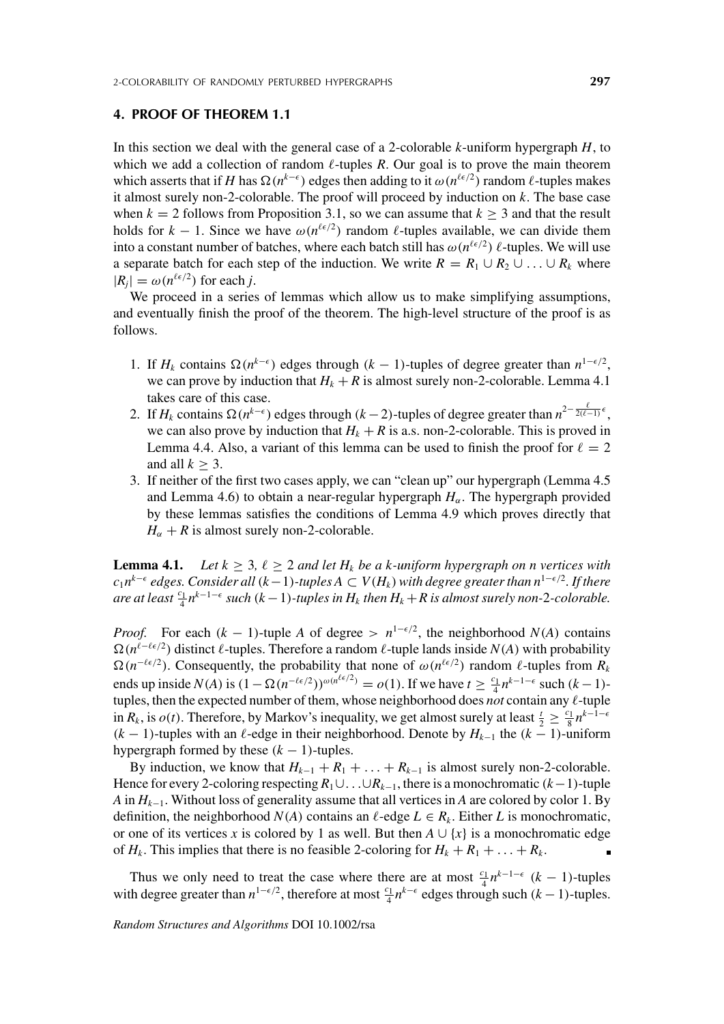#### **4. PROOF OF THEOREM 1.1**

In this section we deal with the general case of a 2-colorable *k*-uniform hypergraph *H*, to which we add a collection of random  $\ell$ -tuples *R*. Our goal is to prove the main theorem which asserts that if *H* has  $\Omega(n^{k-\epsilon})$  edges then adding to it  $\omega(n^{\ell \epsilon/2})$  random  $\ell$ -tuples makes it almost surely non-2-colorable. The proof will proceed by induction on *k*. The base case when  $k = 2$  follows from Proposition 3.1, so we can assume that  $k \geq 3$  and that the result holds for  $k - 1$ . Since we have  $\omega(n^{\ell \epsilon/2})$  random  $\ell$ -tuples available, we can divide them into a constant number of batches, where each batch still has  $\omega(n^{\ell \epsilon/2})$   $\ell$ -tuples. We will use a separate batch for each step of the induction. We write  $R = R_1 \cup R_2 \cup ... \cup R_k$  where  $|R_j| = \omega(n^{\ell \epsilon/2})$  for each *j*.

We proceed in a series of lemmas which allow us to make simplifying assumptions, and eventually finish the proof of the theorem. The high-level structure of the proof is as follows.

- 1. If *H<sub>k</sub>* contains  $\Omega(n^{k-\epsilon})$  edges through (*k* − 1)-tuples of degree greater than *n*<sup>1- $\epsilon/2$ </sup>, we can prove by induction that  $H_k + R$  is almost surely non-2-colorable. Lemma 4.1 takes care of this case.
- 2. If *H<sub>k</sub>* contains  $\Omega(n^{k-\epsilon})$  edges through (*k* − 2)-tuples of degree greater than  $n^{2-\frac{\ell}{2(\ell-1)}\epsilon}$ , we can also prove by induction that  $H_k + R$  is a.s. non-2-colorable. This is proved in Lemma 4.4. Also, a variant of this lemma can be used to finish the proof for  $\ell = 2$ and all  $k > 3$ .
- 3. If neither of the first two cases apply, we can "clean up" our hypergraph (Lemma 4.5 and Lemma 4.6) to obtain a near-regular hypergraph  $H_{\alpha}$ . The hypergraph provided by these lemmas satisfies the conditions of Lemma 4.9 which proves directly that  $H_{\alpha} + R$  is almost surely non-2-colorable.

**Lemma 4.1.** *Let*  $k \geq 3$ ,  $\ell \geq 2$  *and let*  $H_k$  *be a k-uniform hypergraph on n vertices with c*<sub>1</sub> $n^{k-ε}$  edges. Consider all ( $k-1$ )-tuples  $A ⊂ V(H_k)$  with degree greater than  $n^{1-ε/2}$ . If there  $\int$  *are at least*  $\frac{c_1}{4} n^{k-1-\epsilon}$  such ( $k-1$ )-tuples in  $H_k$  then  $H_k + R$  is almost surely non-2-colorable.

*Proof.* For each  $(k - 1)$ -tuple *A* of degree >  $n^{1-\epsilon/2}$ , the neighborhood  $N(A)$  contains  $Ω(n^{\ell-\ell\epsilon/2})$  distinct  $\ell$ -tuples. Therefore a random  $\ell$ -tuple lands inside *N*(*A*) with probability  $\Omega(n^{-\ell \epsilon/2})$ . Consequently, the probability that none of  $\omega(n^{\ell \epsilon/2})$  random  $\ell$ -tuples from  $R_k$ ends up inside  $N(A)$  is  $(1 - \Omega(n^{-\ell \epsilon/2}))^{\omega(n^{\ell \epsilon/2})} = o(1)$ . If we have  $t \ge \frac{c_1}{4} n^{k-1-\epsilon}$  such  $(k-1)$ tuples, then the expected number of them, whose neighborhood does *not* contain any  $\ell$ -tuple in  $R_k$ , is  $o(t)$ . Therefore, by Markov's inequality, we get almost surely at least  $\frac{t}{2} \geq \frac{c_1}{8} n^{k-1-\epsilon}$  $(k - 1)$ -tuples with an  $\ell$ -edge in their neighborhood. Denote by  $H_{k-1}$  the  $(k - 1)$ -uniform hypergraph formed by these  $(k - 1)$ -tuples.

By induction, we know that  $H_{k-1} + R_1 + \ldots + R_{k-1}$  is almost surely non-2-colorable. Hence for every 2-coloring respecting *R*1∪...∪*Rk*−1, there is a monochromatic (*k*−1)-tuple *A* in *Hk*−1. Without loss of generality assume that all vertices in *A* are colored by color 1. By definition, the neighborhood *N*(*A*) contains an  $\ell$ -edge  $L \in R_k$ . Either *L* is monochromatic, or one of its vertices *x* is colored by 1 as well. But then  $A \cup \{x\}$  is a monochromatic edge of  $H_k$ . This implies that there is no feasible 2-coloring for  $H_k + R_1 + \ldots + R_k$ .

Thus we only need to treat the case where there are at most  $\frac{c_1}{4}n^{k-1-\epsilon}$  (*k* − 1)-tuples with degree greater than  $n^{1-\epsilon/2}$ , therefore at most  $\frac{c_1}{4}n^{k-\epsilon}$  edges through such  $(k-1)$ -tuples.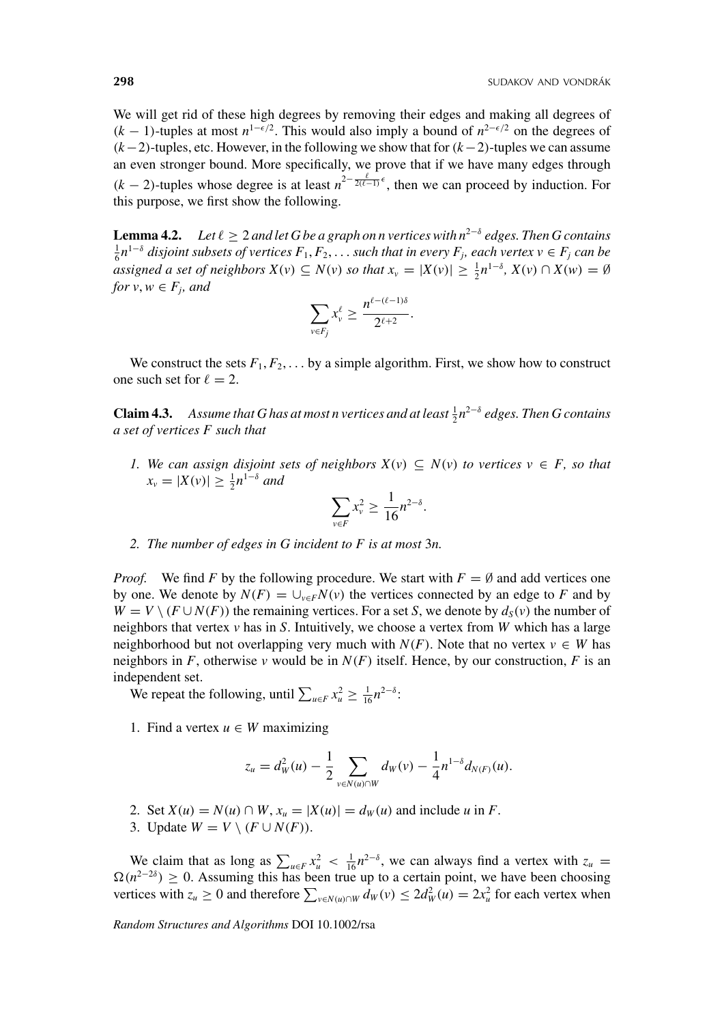We will get rid of these high degrees by removing their edges and making all degrees of  $(k-1)$ -tuples at most  $n^{1-\epsilon/2}$ . This would also imply a bound of  $n^{2-\epsilon/2}$  on the degrees of (*k*−2)-tuples, etc. However, in the following we show that for(*k*−2)-tuples we can assume an even stronger bound. More specifically, we prove that if we have many edges through  $(k-2)$ -tuples whose degree is at least  $n^{2-\frac{\ell}{2(\ell-1)}\epsilon}$ , then we can proceed by induction. For this purpose, we first show the following.

**Lemma 4.2.** *Let*  $\ell \geq 2$  *and let* G *be a graph on n vertices with n<sup>2−8</sup> edges. Then G contains*  $\frac{1}{6}n^{1-\delta}$  *disjoint subsets of vertices*  $F_1, F_2, \ldots$  *such that in every*  $F_j$ *, each vertex*  $v \in F_j$  *can be assigned a set of neighbors*  $X(v) \subseteq N(v)$  *so that*  $x_v = |X(v)| \ge \frac{1}{2} n^{1-\delta}$ ,  $X(v) \cap X(w) = \emptyset$ *for*  $v, w \in F_i$ *, and* 

$$
\sum_{v\in F_j} x_v^{\ell} \geq \frac{n^{\ell-(\ell-1)\delta}}{2^{\ell+2}}.
$$

We construct the sets  $F_1, F_2, \ldots$  by a simple algorithm. First, we show how to construct one such set for  $\ell = 2$ .

**Claim 4.3.** Assume that G has at most n vertices and at least  $\frac{1}{2}n^{2-\delta}$  edges. Then G contains *a set of vertices F such that*

*1. We can assign disjoint sets of neighbors*  $X(v)$  ⊆  $N(v)$  *to vertices*  $v$  ∈ *F*, *so that*  $x_v = |X(v)| \ge \frac{1}{2} n^{1-\delta}$  and

$$
\sum_{v \in F} x_v^2 \ge \frac{1}{16} n^{2-\delta}.
$$

*2. The number of edges in G incident to F is at most* 3*n.*

*Proof.* We find F by the following procedure. We start with  $F = \emptyset$  and add vertices one by one. We denote by  $N(F) = \bigcup_{v \in F} N(v)$  the vertices connected by an edge to *F* and by  $W = V \setminus (F \cup N(F))$  the remaining vertices. For a set *S*, we denote by  $d_S(v)$  the number of neighbors that vertex *v* has in *S*. Intuitively, we choose a vertex from *W* which has a large neighborhood but not overlapping very much with  $N(F)$ . Note that no vertex  $v \in W$  has neighbors in *F*, otherwise *v* would be in  $N(F)$  itself. Hence, by our construction, *F* is an independent set.

We repeat the following, until  $\sum_{u \in F} x_u^2 \ge \frac{1}{16} n^{2-\delta}$ :

1. Find a vertex  $u \in W$  maximizing

$$
z_u = d_W^2(u) - \frac{1}{2} \sum_{v \in N(u) \cap W} d_W(v) - \frac{1}{4} n^{1-\delta} d_{N(F)}(u).
$$

- 2. Set  $X(u) = N(u) \cap W$ ,  $x_u = |X(u)| = d_W(u)$  and include *u* in *F*.
- 3. Update  $W = V \setminus (F \cup N(F)).$

We claim that as long as  $\sum_{u \in F} x_u^2 < \frac{1}{16} n^{2-\delta}$ , we can always find a vertex with  $z_u =$  $\Omega(n^{2-2\delta}) \geq 0$ . Assuming this has been true up to a certain point, we have been choosing vertices with  $z_u \ge 0$  and therefore  $\sum_{v \in N(u) \cap W} d_w(v) \le 2d_w^2(u) = 2x_u^2$  for each vertex when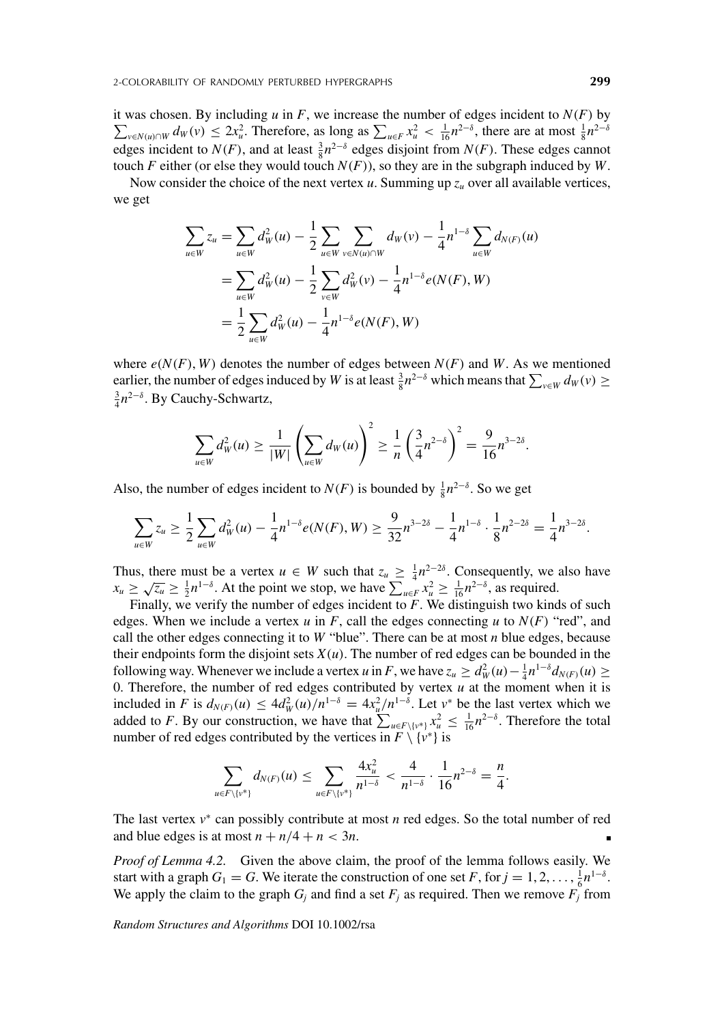it was chosen. By including  $u$  in  $F$ , we increase the number of edges incident to  $N(F)$  by it was chosen. By including u in F, we increase the number of edges incident to  $N(F)$  by  $\sum_{v \in N(u) \cap W} d_W(v) \le 2x_u^2$ . Therefore, as long as  $\sum_{u \in F} x_u^2 < \frac{1}{16} n^{2-\delta}$ , there are at most  $\frac{1}{8} n^{2-\delta}$ edges incident to  $N(F)$ , and at least  $\frac{3}{8}n^{2-\delta}$  edges disjoint from  $N(F)$ . These edges cannot touch *F* either (or else they would touch  $N(F)$ ), so they are in the subgraph induced by *W*.

Now consider the choice of the next vertex  $u$ . Summing up  $z_u$  over all available vertices, we get

$$
\sum_{u \in W} z_u = \sum_{u \in W} d_W^2(u) - \frac{1}{2} \sum_{u \in W} \sum_{v \in N(u) \cap W} d_W(v) - \frac{1}{4} n^{1-\delta} \sum_{u \in W} d_{N(F)}(u)
$$
  
= 
$$
\sum_{u \in W} d_W^2(u) - \frac{1}{2} \sum_{v \in W} d_W^2(v) - \frac{1}{4} n^{1-\delta} e(N(F), W)
$$
  
= 
$$
\frac{1}{2} \sum_{u \in W} d_W^2(u) - \frac{1}{4} n^{1-\delta} e(N(F), W)
$$

where  $e(N(F), W)$  denotes the number of edges between  $N(F)$  and W. As we mentioned earlier, the number of edges induced by *W* is at least  $\frac{3}{8}n^{2-\delta}$  which means that  $\sum_{v \in W} d_W(v) \ge \frac{3}{2}n^{2-\delta}$ . By Cauchy Schwartz  $\frac{3}{4}n^{2-\delta}$ . By Cauchy-Schwartz,

$$
\sum_{u \in W} d_W^2(u) \ge \frac{1}{|W|} \left( \sum_{u \in W} d_W(u) \right)^2 \ge \frac{1}{n} \left( \frac{3}{4} n^{2-\delta} \right)^2 = \frac{9}{16} n^{3-2\delta}.
$$

Also, the number of edges incident to  $N(F)$  is bounded by  $\frac{1}{8}n^{2-\delta}$ . So we get

$$
\sum_{u\in W} z_u \geq \frac{1}{2} \sum_{u\in W} d_W^2(u) - \frac{1}{4} n^{1-\delta} e(N(F), W) \geq \frac{9}{32} n^{3-2\delta} - \frac{1}{4} n^{1-\delta} \cdot \frac{1}{8} n^{2-2\delta} = \frac{1}{4} n^{3-2\delta}.
$$

Thus, there must be a vertex  $u \in W$  such that  $z_u \geq \frac{1}{4}n^{2-2\delta}$ . Consequently, we also have  $x_u \ge \sqrt{z_u} \ge \frac{1}{2} n^{1-\delta}$ . At the point we stop, we have  $\sum_{u \in F}^{\infty} x_u^2 \ge \frac{1}{16} n^{2-\delta}$ , as required.

Finally, we verify the number of edges incident to *F*. We distinguish two kinds of such edges. When we include a vertex  $u$  in  $F$ , call the edges connecting  $u$  to  $N(F)$  "red", and call the other edges connecting it to  $W$  "blue". There can be at most  $n$  blue edges, because their endpoints form the disjoint sets  $X(u)$ . The number of red edges can be bounded in the following way. Whenever we include a vertex *u* in *F*, we have  $z_u \ge d_W^2(u) - \frac{1}{4}n^{1-\delta}d_{N(F)}(u) \ge$ 0. Therefore, the number of red edges contributed by vertex  $u$  at the moment when it is included in *F* is  $d_{N(F)}(u) \le 4d_W^2(u)/n^{1-\delta} = 4x_u^2/n^{1-\delta}$ . Let  $v^*$  be the last vertex which we added to *F*. By our construction, we have that  $\sum_{u \in F\backslash \{v^*\}} x_u^2 \leq \frac{1}{16} n^{2-\delta}$ . Therefore the total number of red edges contributed by the vertices in  $F \setminus \{v^*\}$  is

$$
\sum_{u \in F \setminus \{v^*\}} d_{N(F)}(u) \le \sum_{u \in F \setminus \{v^*\}} \frac{4x_u^2}{n^{1-\delta}} < \frac{4}{n^{1-\delta}} \cdot \frac{1}{16} n^{2-\delta} = \frac{n}{4}.
$$

The last vertex *v*<sup>∗</sup> can possibly contribute at most *n* red edges. So the total number of red and blue edges is at most  $n + n/4 + n < 3n$ .

*Proof of Lemma 4.2.* Given the above claim, the proof of the lemma follows easily. We start with a graph  $G_1 = G$ . We iterate the construction of one set  $F$ , for  $j = 1, 2, ..., \frac{1}{6}n^{1-\delta}$ . We apply the claim to the graph  $G_i$  and find a set  $F_j$  as required. Then we remove  $F_i$  from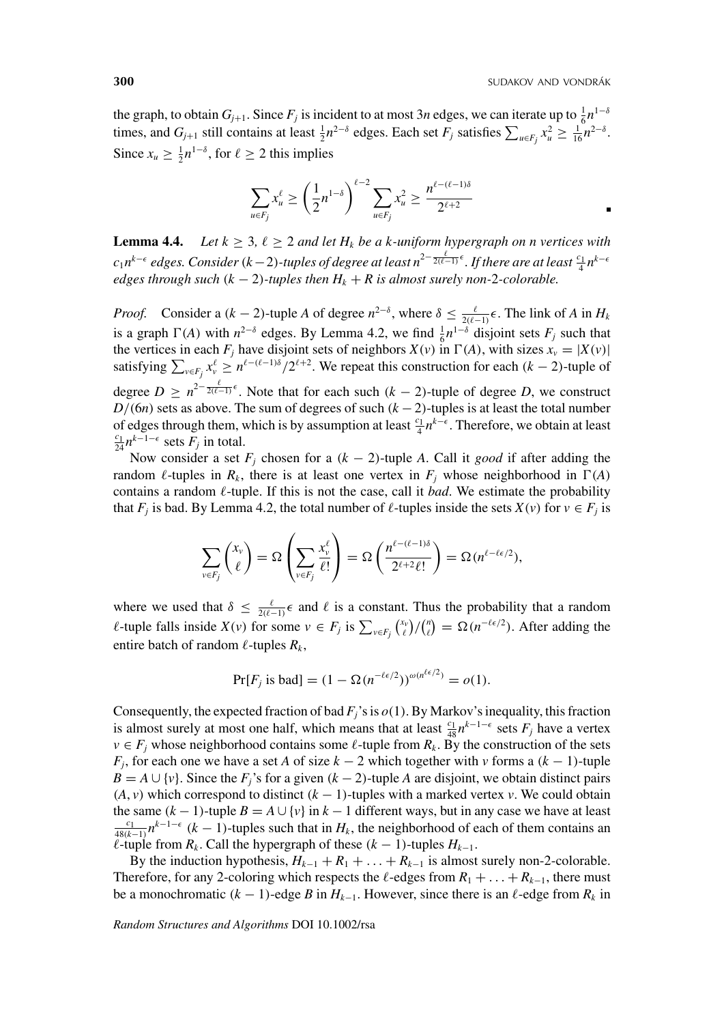the graph, to obtain  $G_{j+1}$ . Since  $F_j$  is incident to at most 3*n* edges, we can iterate up to  $\frac{1}{6}n^{1-\delta}$ times, and  $G_{j+1}$  still contains at least  $\frac{1}{2}n^{2-\delta}$  edges. Each set  $F_j$  satisfies  $\sum_{u \in F_j} x_u^2 \ge \frac{1}{16}n^{2-\delta}$ . Since  $x_u \geq \frac{1}{2} n^{1-\delta}$ , for  $\ell \geq 2$  this implies

$$
\sum_{u \in F_j} x_u^{\ell} \ge \left(\frac{1}{2}n^{1-\delta}\right)^{\ell-2} \sum_{u \in F_j} x_u^2 \ge \frac{n^{\ell - (\ell-1)\delta}}{2^{\ell+2}}
$$

**Lemma 4.4.** *Let*  $k \geq 3$ ,  $\ell \geq 2$  *and let*  $H_k$  *be a k-uniform hypergraph on n vertices with c*<sub>1</sub>*n<sup>k−€</sup> edges. Consider* (*k*−2)-tuples of degree at least n<sup>2−</sup>  $\frac{\ell}{2(\ell-1)}$ <sup>ε</sup>. If there are at least  $\frac{c_1}{4}$ n<sup>k−€</sup> *edges through such* ( $k - 2$ )-tuples then  $H_k + R$  is almost surely non-2-colorable.

*Proof.* Consider a  $(k-2)$ -tuple *A* of degree  $n^{2-\delta}$ , where  $\delta \leq \frac{\ell}{2(\ell-1)} \epsilon$ . The link of *A* in  $H_k$ is a graph  $\Gamma(A)$  with  $n^{2-\delta}$  edges. By Lemma 4.2, we find  $\frac{1}{6}n^{1-\delta}$  disjoint sets  $F_j$  such that the vertices in each  $F_i$  have disjoint sets of neighbors  $X(v)$  in  $\Gamma(A)$ , with sizes  $x_v = |X(v)|$ satisfying  $\sum_{v \in F_j} x_v^{\ell} \ge n^{\ell - (\ell - 1)\delta} / 2^{\ell + 2}$ . We repeat this construction for each  $(k - 2)$ -tuple of degree  $D \geq n^{2-\frac{\ell}{2(\ell-1)}\epsilon}$ . Note that for each such  $(k-2)$ -tuple of degree D, we construct *D*/(6*n*) sets as above. The sum of degrees of such (*k* − 2)-tuples is at least the total number of edges through them, which is by assumption at least  $\frac{c_1}{4} n^{k-\epsilon}$ . Therefore, we obtain at least  $\frac{c_1}{k} n^{k-1-\epsilon}$  sets *F*: in total  $\frac{c_1}{24} n^{k-1-\epsilon}$  sets  $F_j$  in total.

Now consider a set  $F_j$  chosen for a  $(k - 2)$ -tuple *A*. Call it *good* if after adding the random  $\ell$ -tuples in  $R_k$ , there is at least one vertex in  $F_j$  whose neighborhood in  $\Gamma(A)$ contains a random  $\ell$ -tuple. If this is not the case, call it *bad*. We estimate the probability that *F<sub>j</sub>* is bad. By Lemma 4.2, the total number of  $\ell$ -tuples inside the sets  $X(v)$  for  $v \in F_j$  is

$$
\sum_{v \in F_j} \binom{x_v}{\ell} = \Omega \left( \sum_{v \in F_j} \frac{x_v^{\ell}}{\ell!} \right) = \Omega \left( \frac{n^{\ell - (\ell - 1)\delta}}{2^{\ell + 2} \ell!} \right) = \Omega(n^{\ell - \ell \epsilon/2}),
$$

where we used that  $\delta \leq \frac{\ell}{2(\ell-1)} \epsilon$  and  $\ell$  is a constant. Thus the probability that a random *ℓ*-tuple falls inside *X*(*v*) for some  $v \in F_j$  is  $\sum_{v \in F_j} {x_v \choose \ell} / {n \choose \ell} = \Omega(n^{-\ell \epsilon/2})$ . After adding the entire batch of random  $\ell$ -tuples  $R_k$ ,

$$
Pr[F_j \text{ is bad}] = (1 - \Omega(n^{-\ell \epsilon/2}))^{\omega(n^{\ell \epsilon/2})} = o(1).
$$

Consequently, the expected fraction of bad  $F_i$ 's is  $o(1)$ . By Markov's inequality, this fraction is almost surely at most one half, which means that at least  $\frac{c_1}{48} n^{k-1-\epsilon}$  sets  $F_j$  have a vertex  $v \in F_j$  whose neighborhood contains some  $\ell$ -tuple from  $R_k$ . By the construction of the sets *F<sub>j</sub>*, for each one we have a set *A* of size  $k - 2$  which together with *v* forms a  $(k - 1)$ -tuple  $B = A \cup \{v\}$ . Since the *F<sub>j</sub>*'s for a given  $(k - 2)$ -tuple *A* are disjoint, we obtain distinct pairs  $(A, v)$  which correspond to distinct  $(k - 1)$ -tuples with a marked vertex *v*. We could obtain the same  $(k - 1)$ -tuple  $B = A \cup \{v\}$  in  $k - 1$  different ways, but in any case we have at least  $\frac{c_1}{48(k-1)} n^{k-1-\epsilon}$  (*k* − 1)-tuples such that in *H<sub>k</sub>*, the neighborhood of each of them contains an  $\ell$ -tuple from  $R_k$ . Call the hypergraph of these  $(k-1)$ -tuples  $H_{k-1}$ .

By the induction hypothesis,  $H_{k-1} + R_1 + \ldots + R_{k-1}$  is almost surely non-2-colorable. Therefore, for any 2-coloring which respects the  $\ell$ -edges from  $R_1 + \ldots + R_{k-1}$ , there must be a monochromatic  $(k - 1)$ -edge *B* in  $H_{k-1}$ . However, since there is an  $\ell$ -edge from  $R_k$  in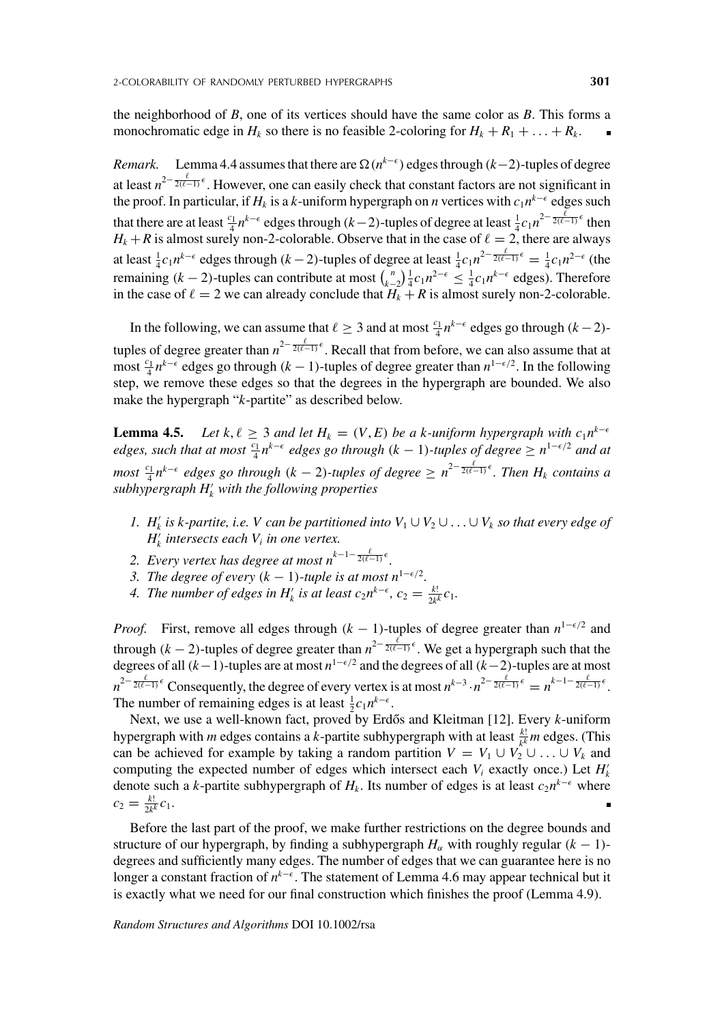the neighborhood of *B*, one of its vertices should have the same color as *B*. This forms a monochromatic edge in  $H_k$  so there is no feasible 2-coloring for  $H_k + R_1 + \ldots + R_k$ .

*Remark.* Lemma 4.4 assumes that there are  $\Omega(n^{k-\epsilon})$  edges through (*k*−2)-tuples of degree at least  $n^{2-\frac{\ell}{2(\ell-1)}\epsilon}$ . However, one can easily check that constant factors are not significant in the proof. In particular, if  $H_k$  is a *k*-uniform hypergraph on *n* vertices with  $c_1 n^{k-\epsilon}$  edges such that there are at least  $\frac{c_1}{4}n^{k-\epsilon}$  edges through  $(k-2)$ -tuples of degree at least  $\frac{1}{4}c_1n^{2-\frac{\ell}{2(\ell-1)}\epsilon}$  then  $H_k + R$  is almost surely non-2-colorable. Observe that in the case of  $\ell = 2$ , there are always at least  $\frac{1}{4}c_1n^{k-\epsilon}$  edges through  $(k-2)$ -tuples of degree at least  $\frac{1}{4}c_1n^{2-\frac{\ell}{2(\ell-1)}\epsilon} = \frac{1}{4}c_1n^{2-\epsilon}$  (the remaining  $(k-2)$ -tuples can contribute at most  $\binom{n}{k-2} \frac{1}{4} c_1 n^{2-\epsilon} \leq \frac{1}{4} c_1 n^{k-\epsilon}$  edges). Therefore in the case of  $\ell = 2$  we can already conclude that  $H_k + R$  is almost surely non-2-colorable.

In the following, we can assume that  $\ell \geq 3$  and at most  $\frac{c_1}{4}n^{k-\epsilon}$  edges go through  $(k-2)$ tuples of degree greater than  $n^{2-\frac{\ell}{2(\ell-1)}\epsilon}$ . Recall that from before, we can also assume that at most  $\frac{c_1}{4} n^{k-\epsilon}$  edges go through (*k* − 1)-tuples of degree greater than  $n^{1-\epsilon/2}$ . In the following step, we remove these edges so that the degrees in the hypergraph are bounded. We also make the hypergraph "*k*-partite" as described below.

**Lemma 4.5.** *Let*  $k, \ell \geq 3$  *and let*  $H_k = (V, E)$  *be a k-uniform hypergraph with*  $c_1 n^{k-\epsilon}$ *edges, such that at most*  $\frac{c_1}{4}n^{k-\epsilon}$  *edges go through* (*k* − 1)*-tuples of degree*  $\geq n^{1-\epsilon/2}$  *and at*  $m$ *ost*  $\frac{c_1}{4}n^{k-\epsilon}$  edges go through (*k* − 2)-tuples of degree  $\geq n^{2-\frac{\ell}{2(\ell-1)}\epsilon}$ . Then  $H_k$  contains a *subhypergraph H*- *<sup>k</sup> with the following properties*

- *1.*  $H'_{k}$  *is k-partite, i.e. V can be partitioned into*  $V_1$ ∪ $V_2$ ∪...∪ $V_k$  *so that every edge of*  $H'_{k}$  *intersects each*  $V_{i}$  *in one vertex.*
- 2. Every vertex has degree at most  $n^{k-1-\frac{\ell}{2(\ell-1)}\epsilon}$ .
- *3. The degree of every*  $(k 1)$ -tuple is at most  $n^{1-\epsilon/2}$ .
- 4. The number of edges in  $H'_{k}$  is at least  $c_2 n^{k-\epsilon}$ ,  $c_2 = \frac{k!}{2k^k} c_1$ .

*Proof.* First, remove all edges through  $(k - 1)$ -tuples of degree greater than  $n^{1-\epsilon/2}$  and through  $(k-2)$ -tuples of degree greater than  $n^{2-\frac{\ell}{2(\ell-1)}\epsilon}$ . We get a hypergraph such that the degrees of all (*k*−1)-tuples are at most *n*<sup>1- $\epsilon$ </sup>/<sup>2</sup> and the degrees of all (*k*−2)-tuples are at most  $n^{2-\frac{\ell}{2(\ell-1)}\epsilon}$  Consequently, the degree of every vertex is at most  $n^{k-3} \cdot n^{2-\frac{\ell}{2(\ell-1)}\epsilon} = n^{k-1-\frac{\ell}{2(\ell-1)}\epsilon}$ . The number of remaining edges is at least  $\frac{1}{2}c_1n^{k-\epsilon}$ .

Next, we use a well-known fact, proved by Erdős and Kleitman [12]. Every *k*-uniform hypergraph with *m* edges contains a *k*-partite subhypergraph with at least  $\frac{k!}{k^k}$  *m* edges. (This can be achieved for example by taking a random partition  $V = V_1 \cup V_2 \cup ... \cup V_k$  and computing the expected number of edges which intersect each  $V_i$  exactly once.) Let  $H'_k$ denote such a *k*-partite subhypergraph of  $H_k$ . Its number of edges is at least  $c_2n^{k-\epsilon}$  where  $c_2 = \frac{k!}{2k^k} c_1.$ 

Before the last part of the proof, we make further restrictions on the degree bounds and structure of our hypergraph, by finding a subhypergraph  $H_\alpha$  with roughly regular  $(k - 1)$ degrees and sufficiently many edges. The number of edges that we can guarantee here is no longer a constant fraction of *n*<sup>k−€</sup>. The statement of Lemma 4.6 may appear technical but it is exactly what we need for our final construction which finishes the proof (Lemma 4.9).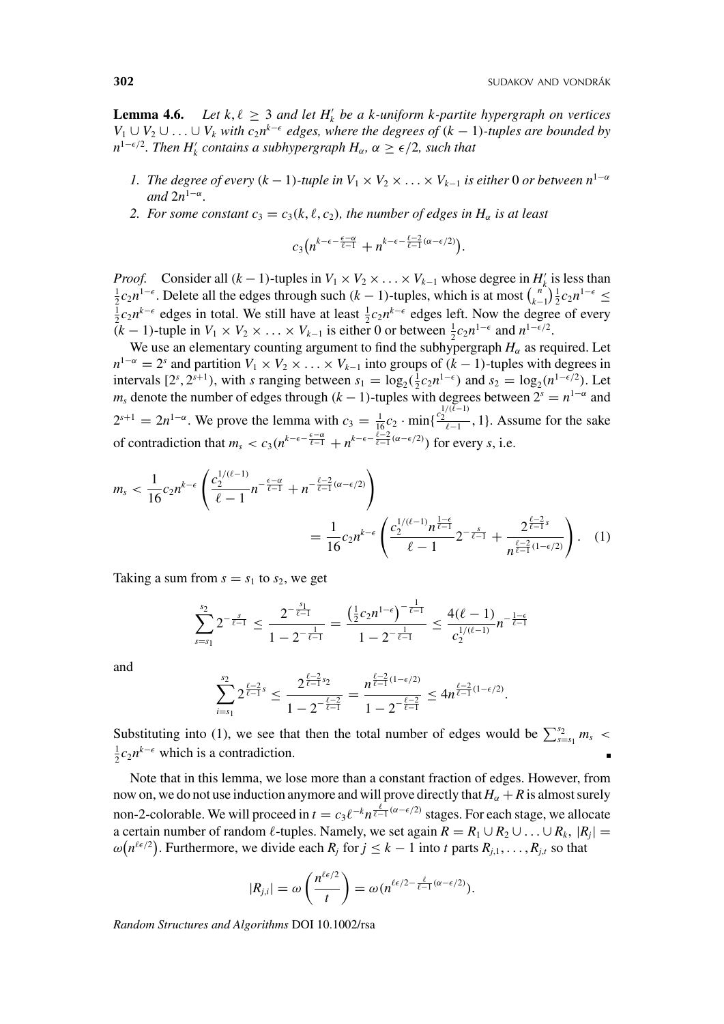**Lemma 4.6.** Let  $k, \ell \geq 3$  and let  $H'_{k}$  be a k-uniform k-partite hypergraph on vertices *V*<sub>1</sub> ∪ *V*<sub>2</sub> ∪ ... ∪ *V*<sub>k</sub> *with c*<sub>2</sub>*n*<sup>*k*- $\epsilon$ </sup> edges, where the degrees of (*k* − 1)*-tuples are bounded by*  $n^{1-\epsilon/2}$ . Then  $H'_k$  contains a subhypergraph  $H_\alpha$ ,  $\alpha \geq \epsilon/2$ , such that

- *1. The degree of every*  $(k-1)$ -tuple in  $V_1 \times V_2 \times \ldots \times V_{k-1}$  is either 0 *or between*  $n^{1-\alpha}$ *and* 2*n*<sup>1</sup>−<sup>α</sup>*.*
- *2. For some constant*  $c_3 = c_3(k, \ell, c_2)$ , the number of edges in  $H_\alpha$  is at least

$$
c_3\big(n^{k-\epsilon-\frac{\epsilon-\alpha}{\ell-1}}+n^{k-\epsilon-\frac{\ell-2}{\ell-1}(\alpha-\epsilon/2)}\big).
$$

*Proof.* Consider all  $(k-1)$ -tuples in  $V_1 \times V_2 \times \ldots \times V_{k-1}$  whose degree in  $H'_k$  is less than  $\frac{1}{k}$  c.n<sup>1- $\epsilon$ </sup>.  $\frac{1}{2}c_2n^{1-\epsilon}$ . Delete all the edges through such  $(k-1)$ -tuples, which is at most  $\binom{n}{k-1}\frac{1}{2}c_2n^{1-\epsilon}$  $\frac{1}{2}c_2n^{k-\epsilon}$ . Delete all the edges through such  $(k-1)$ -tuples, which is at most  $\binom{k-1}{k-1} \frac{1}{2}c_2n^{k-\epsilon} \le \frac{1}{2}c_2n^{k-\epsilon}$  edges in total. We still have at least  $\frac{1}{2}c_2n^{k-\epsilon}$  edges left. Now the degree o  $(k-1)$ -tuple in  $V_1 \times V_2 \times \ldots \times V_{k-1}$  is either 0 or between  $\frac{1}{2}c_2 n^{1-\epsilon}$  and  $n^{1-\epsilon/2}$ .

We use an elementary counting argument to find the subhypergraph  $H_\alpha$  as required. Let  $n^{1-\alpha} = 2^s$  and partition  $V_1 \times V_2 \times \ldots \times V_{k-1}$  into groups of  $(k-1)$ -tuples with degrees in intervals  $[2^s, 2^{s+1})$ , with *s* ranging between  $s_1 = \log_2(\frac{1}{2}c_2n^{1-\epsilon})$  and  $s_2 = \log_2(n^{1-\epsilon/2})$ . Let *m<sub>s</sub>* denote the number of edges through  $(k - 1)$ -tuples with degrees between  $2^{s} = n^{1-\alpha}$  and 2<sup>*s*+1</sup> = 2*n*<sup>1−α</sup>. We prove the lemma with  $c_3 = \frac{1}{16}c_2 \cdot \min\{\frac{c_2^{1/(l-1)}}{l-1}, 1\}$ . Assume for the sake of contradiction that  $m_s < c_3(n^{k-\epsilon-\frac{\epsilon-\alpha}{\ell-1}} + n^{k-\epsilon-\frac{\ell-2}{\ell-1}(\alpha-\epsilon/2)})$  for every *s*, i.e.

$$
m_{s} < \frac{1}{16} c_{2} n^{k-\epsilon} \left( \frac{c_{2}^{1/(\ell-1)}}{\ell-1} n^{-\frac{\ell-\alpha}{\ell-1}} + n^{-\frac{\ell-2}{\ell-1}(\alpha-\epsilon/2)} \right) = \frac{1}{16} c_{2} n^{k-\epsilon} \left( \frac{c_{2}^{1/(\ell-1)} n^{\frac{1-\epsilon}{\ell-1}}}{\ell-1} 2^{-\frac{s}{\ell-1}} + \frac{2^{\frac{\ell-2}{\ell-1}s}}{n^{\frac{\ell-2}{\ell-1}(1-\epsilon/2)}} \right). \tag{1}
$$

Taking a sum from  $s = s_1$  to  $s_2$ , we get

$$
\sum_{s=s_1}^{s_2} 2^{-\frac{s}{\ell-1}} \le \frac{2^{-\frac{s_1}{\ell-1}}}{1-2^{-\frac{1}{\ell-1}}} = \frac{\left(\frac{1}{2}c_2n^{1-\epsilon}\right)^{-\frac{1}{\ell-1}}}{1-2^{-\frac{1}{\ell-1}}} \le \frac{4(\ell-1)}{c_2^{1/(\ell-1)}} n^{-\frac{1-\epsilon}{\ell-1}}
$$

and *s*

$$
\sum_{i=s_1}^{s_2} 2^{\frac{\ell-2}{\ell-1}s} \leq \frac{2^{\frac{\ell-2}{\ell-1}s_2}}{1-2^{-\frac{\ell-2}{\ell-1}}} = \frac{n^{\frac{\ell-2}{\ell-1}(1-\epsilon/2)}}{1-2^{-\frac{\ell-2}{\ell-1}}} \leq 4n^{\frac{\ell-2}{\ell-1}(1-\epsilon/2)}.
$$

Substituting into (1), we see that then the total number of edges would be  $\sum_{s=s_1}^{s_2} m_s < 1$  $\frac{1}{2}c_2n^{k-\epsilon}$  which is a contradiction.

Note that in this lemma, we lose more than a constant fraction of edges. However, from now on, we do not use induction anymore and will prove directly that  $H_\alpha + R$  is almost surely non-2-colorable. We will proceed in  $t = c_3 \ell^{-k} n^{\frac{\ell}{\ell-1}(\alpha-\epsilon/2)}$  stages. For each stage, we allocate a certain number of random  $\ell$ -tuples. Namely, we set again  $R = R_1 \cup R_2 \cup ... \cup R_k$ ,  $|R_j|$  $\omega(n^{\ell \epsilon/2})$ . Furthermore, we divide each *R<sub>j</sub>* for  $j \leq k - 1$  into *t* parts  $R_{j,1}, \ldots, R_{j,t}$  so that

$$
|R_{j,i}| = \omega\left(\frac{n^{\ell \epsilon/2}}{t}\right) = \omega(n^{\ell \epsilon/2 - \frac{\ell}{\ell-1}(\alpha - \epsilon/2)}).
$$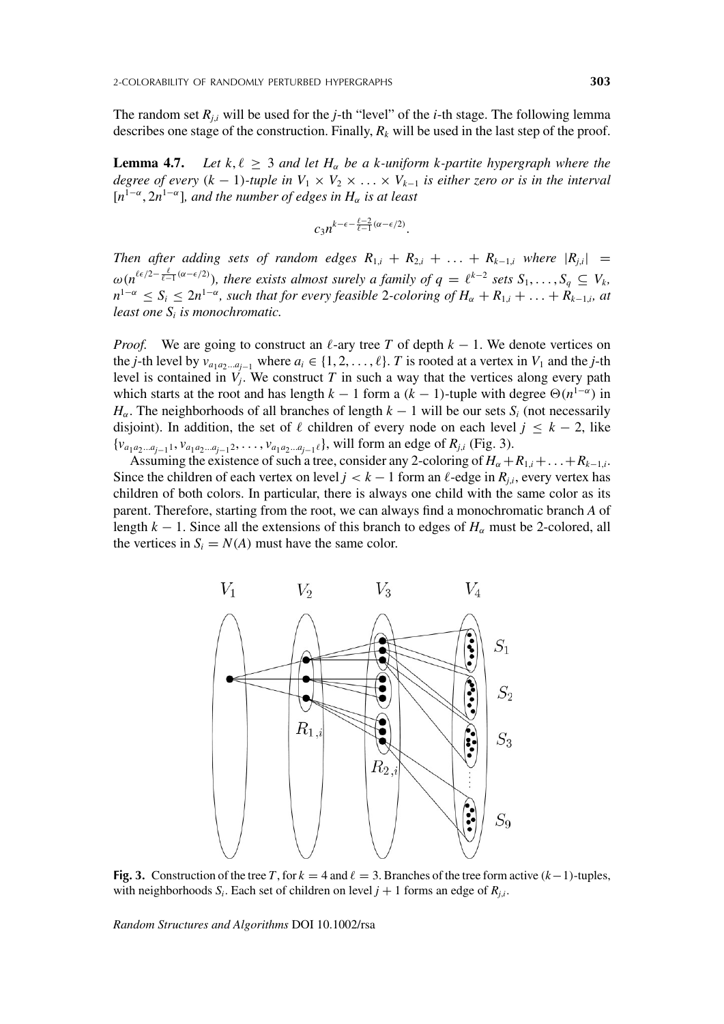The random set *Rj*,*<sup>i</sup>* will be used for the *j*-th "level" of the *i*-th stage. The following lemma describes one stage of the construction. Finally,  $R_k$  will be used in the last step of the proof.

**Lemma 4.7.** *Let*  $k, \ell \geq 3$  *and let*  $H_\alpha$  *be a k-uniform k-partite hypergraph where the degree of every*  $(k - 1)$ -tuple in  $V_1 \times V_2 \times \ldots \times V_{k-1}$  is either zero or is in the interval  $[n^{1-\alpha}, 2n^{1-\alpha}]$ *, and the number of edges in*  $H_\alpha$  *is at least* 

$$
c_3n^{k-\epsilon-\frac{\ell-2}{\ell-1}(\alpha-\epsilon/2)}.
$$

*Then after adding sets of random edges*  $R_{1,i} + R_{2,i} + \ldots + R_{k-1,i}$  *where*  $|R_{i,i}|$  =  $\omega(n^{\ell \epsilon/2 - \frac{\ell}{\ell-1}(\alpha-\epsilon/2)})$ , there exists almost surely a family of  $q = \ell^{k-2}$  sets  $S_1, \ldots, S_q \subseteq V_k$ ,  $n^{1-\alpha}$  ≤  $S_i$  ≤  $2n^{1-\alpha}$ *, such that for every feasible* 2*-coloring of*  $H_\alpha + R_{1,i} + \ldots + R_{k-1,i}$ *, at least one Si is monochromatic.*

*Proof.* We are going to construct an  $\ell$ -ary tree *T* of depth  $k - 1$ . We denote vertices on the *j*-th level by  $v_{a_1a_2...a_{j-1}}$  where  $a_i \in \{1, 2, ..., \ell\}$ . *T* is rooted at a vertex in  $V_1$  and the *j*-th level is contained in  $V_j$ . We construct  $T$  in such a way that the vertices along every path which starts at the root and has length  $k - 1$  form a  $(k - 1)$ -tuple with degree  $\Theta(n^{1-\alpha})$  in  $H_\alpha$ . The neighborhoods of all branches of length  $k-1$  will be our sets  $S_i$  (not necessarily disjoint). In addition, the set of  $\ell$  children of every node on each level  $j \leq k - 2$ , like {*va*1*a*2...*aj*−11, *va*1*a*2...*aj*−12, ... , *va*1*a*2...*aj*−1}, will form an edge of *Rj*,*<sup>i</sup>* (Fig. 3).

Assuming the existence of such a tree, consider any 2-coloring of  $H_{\alpha} + R_{1,i} + \ldots + R_{k-1,i}$ . Since the children of each vertex on level  $j < k - 1$  form an  $\ell$ -edge in  $R_{j,i}$ , every vertex has children of both colors. In particular, there is always one child with the same color as its parent. Therefore, starting from the root, we can always find a monochromatic branch *A* of length  $k - 1$ . Since all the extensions of this branch to edges of  $H_\alpha$  must be 2-colored, all the vertices in  $S_i = N(A)$  must have the same color.



**Fig. 3.** Construction of the tree *T*, for  $k = 4$  and  $\ell = 3$ . Branches of the tree form active  $(k-1)$ -tuples, with neighborhoods  $S_i$ . Each set of children on level  $j + 1$  forms an edge of  $R_{j,i}$ .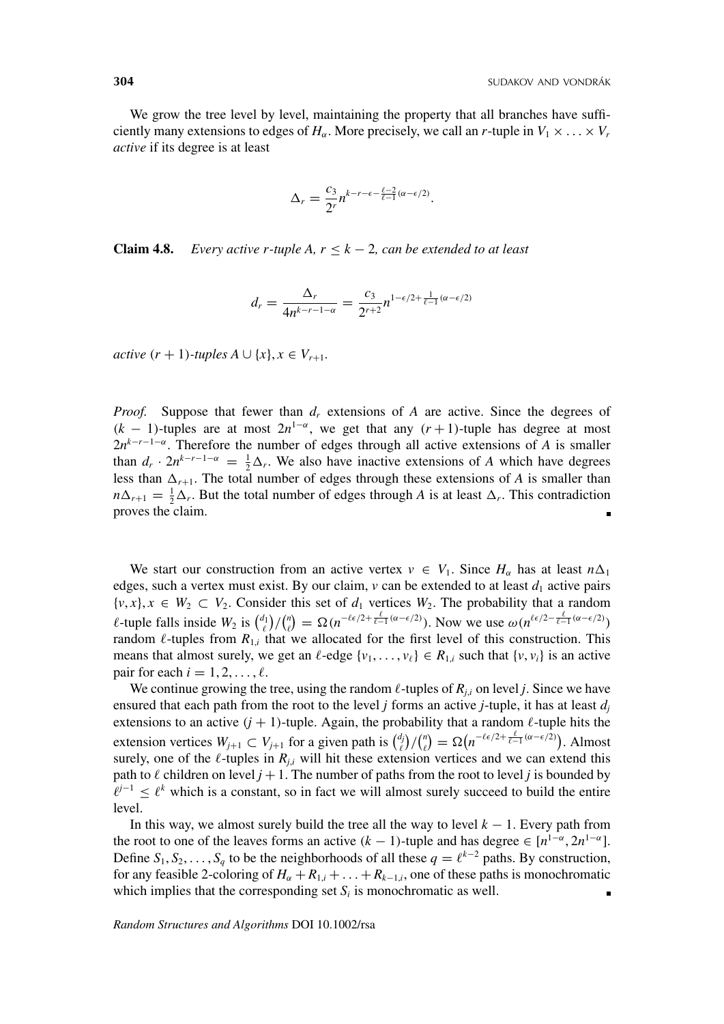We grow the tree level by level, maintaining the property that all branches have sufficiently many extensions to edges of  $H_\alpha$ . More precisely, we call an *r*-tuple in  $V_1 \times \ldots \times V_r$ *active* if its degree is at least

$$
\Delta_r = \frac{c_3}{2^r} n^{k-r-\epsilon - \frac{\ell-2}{\ell-1}(\alpha-\epsilon/2)}.
$$

**Claim 4.8.** *Every active r-tuple A,*  $r \leq k - 2$ *, can be extended to at least* 

$$
d_r = \frac{\Delta_r}{4n^{k-r-1-\alpha}} = \frac{c_3}{2^{r+2}}n^{1-\epsilon/2 + \frac{1}{\ell-1}(\alpha-\epsilon/2)}
$$

*active*  $(r + 1)$ *-tuples*  $A ∪ \{x\}, x ∈ V_{r+1}$ *.* 

*Proof.* Suppose that fewer than  $d_r$  extensions of *A* are active. Since the degrees of  $(k - 1)$ -tuples are at most  $2n^{1-\alpha}$ , we get that any  $(r + 1)$ -tuple has degree at most  $2n^{k-r-1-\alpha}$ . Therefore the number of edges through all active extensions of *A* is smaller than  $d_r \cdot 2n^{k-r-1-\alpha} = \frac{1}{2}\Delta_r$ . We also have inactive extensions of *A* which have degrees less than  $\Delta_{r+1}$ . The total number of edges through these extensions of *A* is smaller than  $n\Delta_{r+1} = \frac{1}{2}\Delta_r$ . But the total number of edges through *A* is at least  $\Delta_r$ . This contradiction proves the claim.

We start our construction from an active vertex  $v \in V_1$ . Since  $H_\alpha$  has at least  $n\Delta_1$ edges, such a vertex must exist. By our claim,  $\nu$  can be extended to at least  $d_1$  active pairs  $\{v, x\}, x \in W_2 \subset V_2$ . Consider this set of  $d_1$  vertices  $W_2$ . The probability that a random *l*-tuple falls inside  $W_2$  is  $\binom{d_1}{\ell}$  / $\binom{n}{\ell} = \Omega(n^{-\ell \epsilon/2 + \frac{\ell}{\ell-1}(\alpha - \epsilon/2)})$ . Now we use  $\omega(n^{\ell \epsilon/2 - \frac{\ell}{\ell-1}(\alpha - \epsilon/2)})$ random  $\ell$ -tuples from  $R_{1,i}$  that we allocated for the first level of this construction. This means that almost surely, we get an  $\ell$ -edge  $\{v_1, \ldots, v_\ell\} \in R_{1,i}$  such that  $\{v, v_i\}$  is an active pair for each  $i = 1, 2, \ldots, \ell$ .

We continue growing the tree, using the random  $\ell$ -tuples of  $R_{j,i}$  on level *j*. Since we have ensured that each path from the root to the level *j* forms an active *j*-tuple, it has at least  $d_i$ extensions to an active  $(j + 1)$ -tuple. Again, the probability that a random  $\ell$ -tuple hits the extension vertices  $W_{j+1} \subset V_{j+1}$  for a given path is  $\binom{d_j}{\ell} / \binom{n}{\ell} = \Omega \left( n^{-\ell \epsilon/2 + \frac{\ell}{\ell-1} (\alpha - \epsilon/2)} \right)$ . Almost surely, one of the  $\ell$ -tuples in  $R_{j,i}$  will hit these extension vertices and we can extend this path to  $\ell$  children on level  $j + 1$ . The number of paths from the root to level *j* is bounded by  $l^{j-1} \leq l^k$  which is a constant, so in fact we will almost surely succeed to build the entire level.

In this way, we almost surely build the tree all the way to level  $k - 1$ . Every path from the root to one of the leaves forms an active  $(k - 1)$ -tuple and has degree  $\in [n^{1-\alpha}, 2n^{1-\alpha}]$ . Define  $S_1, S_2, \ldots, S_q$  to be the neighborhoods of all these  $q = \ell^{k-2}$  paths. By construction, for any feasible 2-coloring of  $H_{\alpha} + R_{1,i} + \ldots + R_{k-1,i}$ , one of these paths is monochromatic which implies that the corresponding set  $S_i$  is monochromatic as well.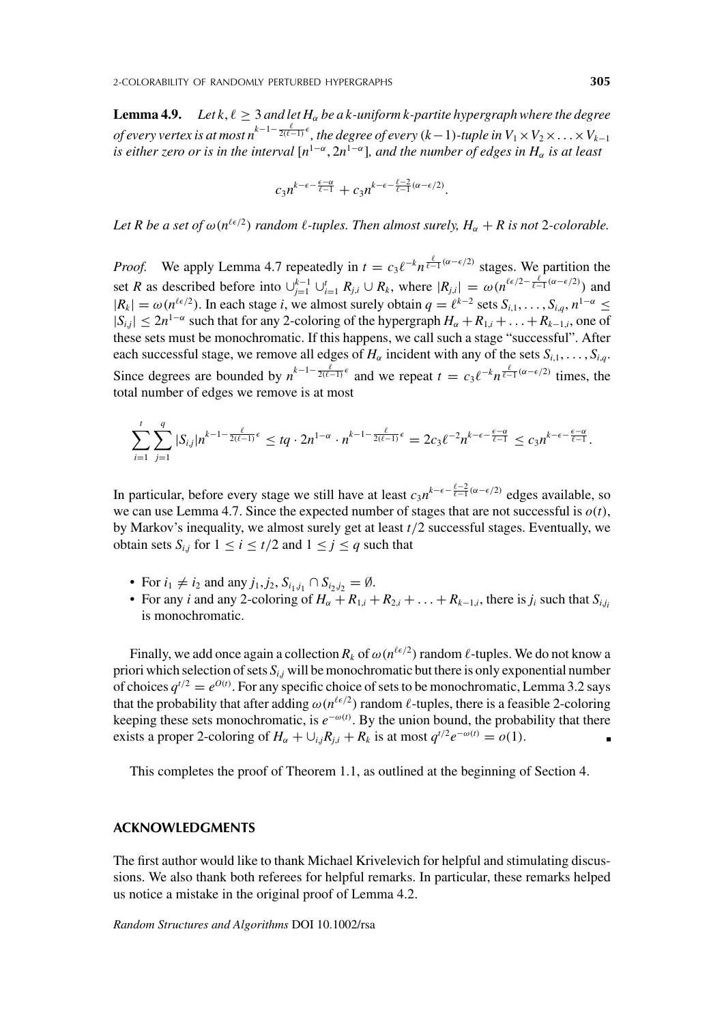**Lemma 4.9.** *Let k,*  $\ell \geq 3$  *and let H<sub>α</sub> be a k-uniform k-partite hypergraph where the degree of every vertex is at most n*<sup>k−1−2( $e^{-1/2}$ ), the degree of every (k−1)-tuple in V<sub>1</sub> × V<sub>2</sub> × . . . × V<sub>k−1</sub></sup> *is either zero or is in the interval*  $[n^{1-\alpha}, 2n^{1-\alpha}]$ *, and the number of edges in*  $H_\alpha$  *is at least* 

$$
c_3 n^{k-\epsilon-\frac{\epsilon-\alpha}{\ell-1}}+c_3 n^{k-\epsilon-\frac{\ell-2}{\ell-1}(\alpha-\epsilon/2)}
$$

.

Let R be a set of  $\omega(n^{\ell \epsilon/2})$  random  $\ell$ -tuples. Then almost surely,  $H_{\alpha} + R$  is not 2-colorable.

*Proof.* We apply Lemma 4.7 repeatedly in  $t = c_3 \ell^{-k} n^{\frac{\ell}{\ell-1}(\alpha - \epsilon/2)}$  stages. We partition the set *R* as described before into  $\bigcup_{j=1}^{k-1} \bigcup_{i=1}^{l} R_{j,i} \cup R_k$ , where  $|R_{j,i}| = \omega(n^{\ell \epsilon/2 - \frac{\ell}{\ell-1}(\alpha - \epsilon/2)})$  and  $|R_k| = \omega(n^{\ell \epsilon/2})$ . In each stage *i*, we almost surely obtain  $q = \ell^{k-2}$  sets  $S_{i,1}, \ldots, S_{i,q}, n^{1-\alpha} \leq$  $|S_{i,j}|$  ≤ 2*n*<sup>1−α</sup> such that for any 2-coloring of the hypergraph  $H_\alpha + R_{1,i} + \ldots + R_{k-1,i}$ , one of these sets must be monochromatic. If this happens, we call such a stage "successful". After each successful stage, we remove all edges of  $H_\alpha$  incident with any of the sets  $S_{i,1}, \ldots, S_{i,q}$ . Since degrees are bounded by  $n^{k-1-\frac{\ell}{2(\ell-1)}\epsilon}$  and we repeat  $t = c_3\ell^{-k}n^{\frac{\ell}{\ell-1}(\alpha-\epsilon/2)}$  times, the total number of edges we remove is at most

$$
\sum_{i=1}^t \sum_{j=1}^q |S_{i,j}| n^{k-1-\frac{\ell}{2(\ell-1)}\epsilon} \leq tq \cdot 2n^{1-\alpha} \cdot n^{k-1-\frac{\ell}{2(\ell-1)}\epsilon} = 2c_3 \ell^{-2} n^{k-\epsilon-\frac{\epsilon-\alpha}{\ell-1}} \leq c_3 n^{k-\epsilon-\frac{\epsilon-\alpha}{\ell-1}}.
$$

In particular, before every stage we still have at least  $c_3 n^{k-\epsilon-\frac{\ell-2}{\ell-1}(\alpha-\epsilon/2)}$  edges available, so we can use Lemma 4.7. Since the expected number of stages that are not successful is  $o(t)$ , by Markov's inequality, we almost surely get at least *t*/2 successful stages. Eventually, we obtain sets  $S_{i,j}$  for  $1 \le i \le t/2$  and  $1 \le j \le q$  such that

- For  $i_1 \neq i_2$  and any  $j_1, j_2, S_{i_1, j_1} \cap S_{i_2, j_2} = \emptyset$ .
- For any *i* and any 2-coloring of  $H_{\alpha} + R_{1,i} + R_{2,i} + \ldots + R_{k-1,i}$ , there is  $j_i$  such that  $S_{i,i}$ is monochromatic.

Finally, we add once again a collection  $R_k$  of  $\omega(n^{\ell \epsilon/2})$  random  $\ell$ -tuples. We do not know a priori which selection of sets  $S_{i,j}$  will be monochromatic but there is only exponential number of choices  $q^{t/2} = e^{O(t)}$ . For any specific choice of sets to be monochromatic, Lemma 3.2 says that the probability that after adding  $\omega(n^{\ell \epsilon/2})$  random  $\ell$ -tuples, there is a feasible 2-coloring keeping these sets monochromatic, is  $e^{-\omega(t)}$ . By the union bound, the probability that there exists a proper 2-coloring of  $H_\alpha + \bigcup_{i,j} R_{i,i} + R_k$  is at most  $q^{t/2} e^{-\omega(t)} = o(1)$ .

This completes the proof of Theorem 1.1, as outlined at the beginning of Section 4.

#### **ACKNOWLEDGMENTS**

The first author would like to thank Michael Krivelevich for helpful and stimulating discussions. We also thank both referees for helpful remarks. In particular, these remarks helped us notice a mistake in the original proof of Lemma 4.2.